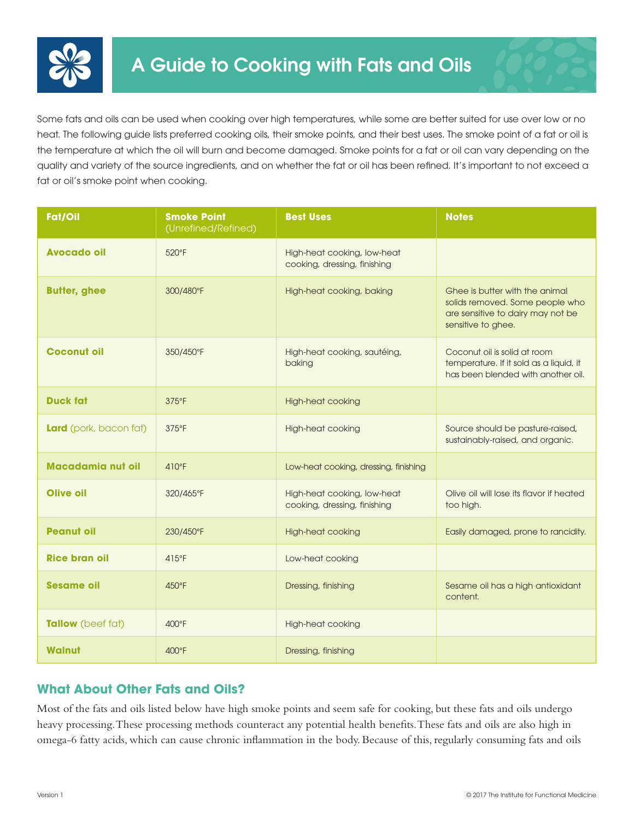

Some fats and oils can be used when cooking over high temperatures, while some are better suited for use over low or no heat. The following guide lists preferred cooking oils, their smoke points, and their best uses. The smoke point of a fat or oil is the temperature at which the oil will burn and become damaged. Smoke points for a fat or oil can vary depending on the quality and variety of the source ingredients, and on whether the fat or oil has been refined. It's important to not exceed a fat or oil's smoke point when cooking.

| Fat/Oil                  | <b>Smoke Point</b><br>(Unrefined/Refined) | <b>Best Uses</b>                                            | <b>Notes</b>                                                                                                                 |
|--------------------------|-------------------------------------------|-------------------------------------------------------------|------------------------------------------------------------------------------------------------------------------------------|
| <b>Avocado oil</b>       | 520°F                                     | High-heat cooking, low-heat<br>cooking, dressing, finishing |                                                                                                                              |
| <b>Butter, ghee</b>      | 300/480°F                                 | High-heat cooking, baking                                   | Ghee is butter with the animal<br>solids removed. Some people who<br>are sensitive to dairy may not be<br>sensitive to ghee. |
| <b>Coconut oil</b>       | 350/450°F                                 | High-heat cooking, sautéing,<br>baking                      | Coconut oil is solid at room<br>temperature. If it sold as a liquid, it<br>has been blended with another oil.                |
| <b>Duck fat</b>          | $375^{\circ}F$                            | <b>High-heat cooking</b>                                    |                                                                                                                              |
| Lard (pork, bacon fat)   | 375°F                                     | <b>High-heat cooking</b>                                    | Source should be pasture-raised,<br>sustainably-raised, and organic.                                                         |
| <b>Macadamia nut oil</b> | $410^{\circ}F$                            | Low-heat cooking, dressing, finishing                       |                                                                                                                              |
| Olive oil                | 320/465°F                                 | High-heat cooking, low-heat<br>cooking, dressing, finishing | Olive oil will lose its flavor if heated<br>too high.                                                                        |
| <b>Peanut oil</b>        | 230/450°F                                 | <b>High-heat cooking</b>                                    | Easily damaged, prone to rancidity.                                                                                          |
| <b>Rice bran oil</b>     | $415^{\circ}F$                            | Low-heat cooking                                            |                                                                                                                              |
| <b>Sesame oil</b>        | 450°F                                     | Dressing, finishing                                         | Sesame oil has a high antioxidant<br>content.                                                                                |
| Tallow (beef fat)        | 400°F                                     | <b>High-heat cooking</b>                                    |                                                                                                                              |
| Walnut                   | 400°F                                     | Dressing, finishing                                         |                                                                                                                              |

## **What About Other Fats and Oils?**

Most of the fats and oils listed below have high smoke points and seem safe for cooking, but these fats and oils undergo heavy processing. These processing methods counteract any potential health benefits. These fats and oils are also high in omega-6 fatty acids, which can cause chronic inflammation in the body. Because of this, regularly consuming fats and oils